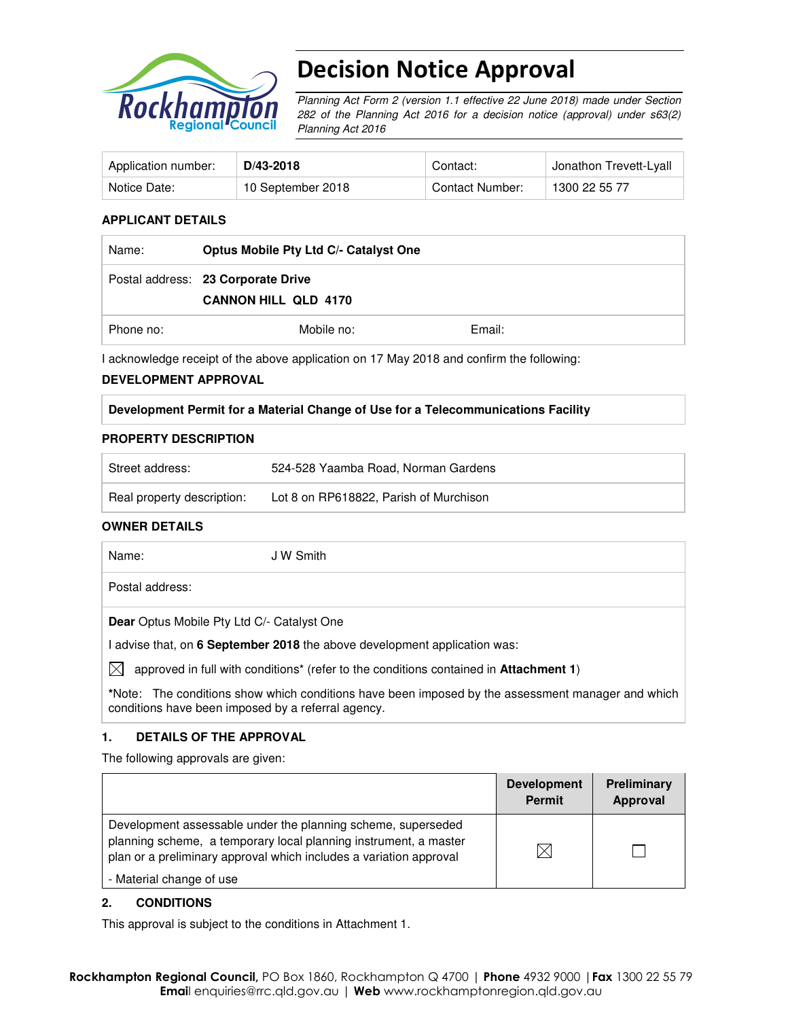

# Decision Notice Approval

Planning Act Form 2 (version 1.1 effective 22 June 2018) made under Section 282 of the Planning Act 2016 for a decision notice (approval) under s63(2) Planning Act 2016

| Application number: | D/43-2018         | Contact:        | Jonathon Trevett-Lyall |
|---------------------|-------------------|-----------------|------------------------|
| Notice Date:        | 10 September 2018 | Contact Number: | 1300 22 55 77          |

### **APPLICANT DETAILS**

| Name:     | Optus Mobile Pty Ltd C/- Catalyst One                             |        |
|-----------|-------------------------------------------------------------------|--------|
|           | Postal address: 23 Corporate Drive<br><b>CANNON HILL QLD 4170</b> |        |
| Phone no: | Mobile no:                                                        | Email: |

I acknowledge receipt of the above application on 17 May 2018 and confirm the following:

#### **DEVELOPMENT APPROVAL**

#### **Development Permit for a Material Change of Use for a Telecommunications Facility**

#### **PROPERTY DESCRIPTION**

| Street address:            | 524-528 Yaamba Road, Norman Gardens    |  |
|----------------------------|----------------------------------------|--|
| Real property description: | Lot 8 on RP618822, Parish of Murchison |  |

### **OWNER DETAILS**

Name: JW Smith Postal address: **Dear** Optus Mobile Pty Ltd C/- Catalyst One I advise that, on **6 September 2018** the above development application was:  $\bowtie$  approved in full with conditions<sup>\*</sup> (refer to the conditions contained in **Attachment 1**)

**\***Note:The conditions show which conditions have been imposed by the assessment manager and which conditions have been imposed by a referral agency.

### **1. DETAILS OF THE APPROVAL**

The following approvals are given:

|                                                                                                                                                                                                        | <b>Development</b><br><b>Permit</b> | Preliminary<br>Approval |
|--------------------------------------------------------------------------------------------------------------------------------------------------------------------------------------------------------|-------------------------------------|-------------------------|
| Development assessable under the planning scheme, superseded<br>planning scheme, a temporary local planning instrument, a master<br>plan or a preliminary approval which includes a variation approval | M                                   |                         |
| - Material change of use                                                                                                                                                                               |                                     |                         |

### **2. CONDITIONS**

This approval is subject to the conditions in Attachment 1.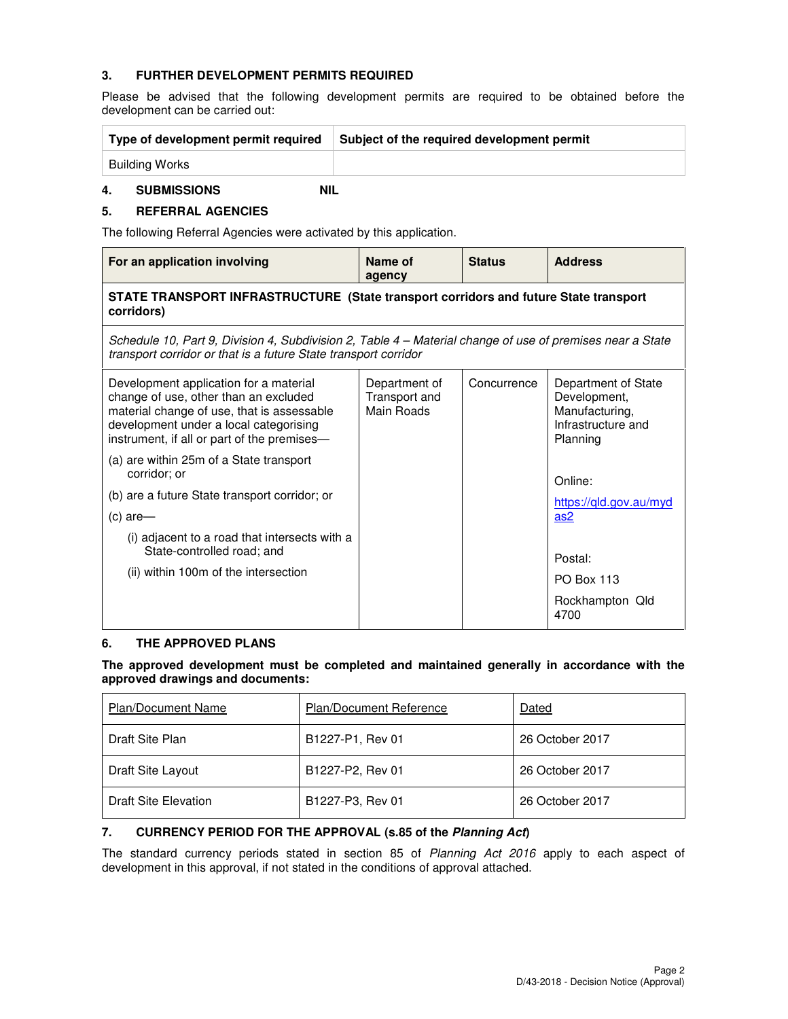## **3. FURTHER DEVELOPMENT PERMITS REQUIRED**

Please be advised that the following development permits are required to be obtained before the development can be carried out:

| Type of development permit required | Subject of the required development permit |
|-------------------------------------|--------------------------------------------|
| Building Works                      |                                            |

## **4. SUBMISSIONS NIL**

## **5. REFERRAL AGENCIES**

The following Referral Agencies were activated by this application.

| For an application involving                                                                                                                                                                                           | Name of<br>agency                            | <b>Status</b> | <b>Address</b>                                                                          |  |
|------------------------------------------------------------------------------------------------------------------------------------------------------------------------------------------------------------------------|----------------------------------------------|---------------|-----------------------------------------------------------------------------------------|--|
| STATE TRANSPORT INFRASTRUCTURE (State transport corridors and future State transport<br>corridors)                                                                                                                     |                                              |               |                                                                                         |  |
| Schedule 10, Part 9, Division 4, Subdivision 2, Table 4 – Material change of use of premises near a State<br>transport corridor or that is a future State transport corridor                                           |                                              |               |                                                                                         |  |
| Development application for a material<br>change of use, other than an excluded<br>material change of use, that is assessable<br>development under a local categorising<br>instrument, if all or part of the premises- | Department of<br>Transport and<br>Main Roads | Concurrence   | Department of State<br>Development,<br>Manufacturing,<br>Infrastructure and<br>Planning |  |
| (a) are within 25m of a State transport<br>corridor; or                                                                                                                                                                |                                              |               | Online:                                                                                 |  |
| (b) are a future State transport corridor; or                                                                                                                                                                          |                                              |               | https://gld.gov.au/myd                                                                  |  |
| (c) are-                                                                                                                                                                                                               |                                              |               | as <sub>2</sub>                                                                         |  |
| (i) adjacent to a road that intersects with a<br>State-controlled road; and                                                                                                                                            |                                              |               | Postal:                                                                                 |  |
| (ii) within 100m of the intersection                                                                                                                                                                                   |                                              |               | <b>PO Box 113</b>                                                                       |  |
|                                                                                                                                                                                                                        |                                              |               | Rockhampton Qld<br>4700                                                                 |  |

## **6. THE APPROVED PLANS**

**The approved development must be completed and maintained generally in accordance with the approved drawings and documents:** 

| <b>Plan/Document Name</b>   | <b>Plan/Document Reference</b> | Dated           |
|-----------------------------|--------------------------------|-----------------|
| Draft Site Plan             | B1227-P1, Rev 01               | 26 October 2017 |
| Draft Site Layout           | B1227-P2, Rev 01               | 26 October 2017 |
| <b>Draft Site Elevation</b> | B1227-P3, Rev 01               | 26 October 2017 |

## **7. CURRENCY PERIOD FOR THE APPROVAL (s.85 of the Planning Act)**

The standard currency periods stated in section 85 of Planning Act 2016 apply to each aspect of development in this approval, if not stated in the conditions of approval attached.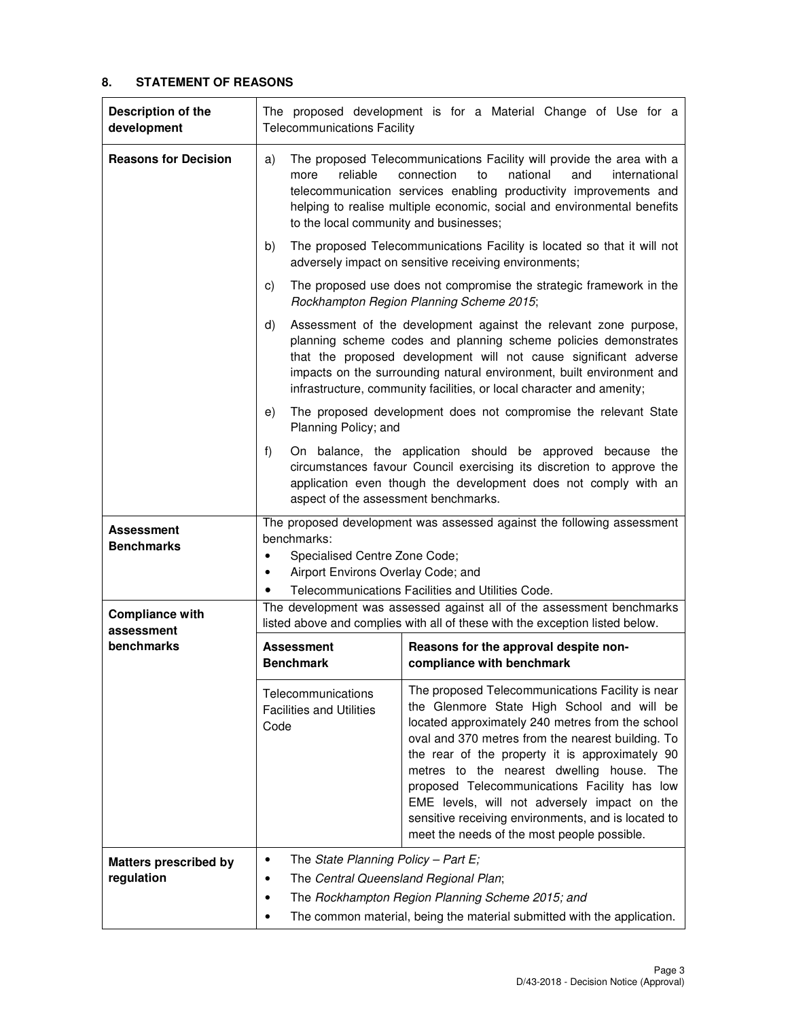## **8. STATEMENT OF REASONS**

| Description of the<br>development                         | The proposed development is for a Material Change of Use for a<br><b>Telecommunications Facility</b>                                                                                                                                                                                                                                                                                                                                                                                                                                                                           |  |  |  |
|-----------------------------------------------------------|--------------------------------------------------------------------------------------------------------------------------------------------------------------------------------------------------------------------------------------------------------------------------------------------------------------------------------------------------------------------------------------------------------------------------------------------------------------------------------------------------------------------------------------------------------------------------------|--|--|--|
| <b>Reasons for Decision</b>                               | The proposed Telecommunications Facility will provide the area with a<br>a)<br>reliable<br>national<br>connection<br>to<br>and<br>international<br>more<br>telecommunication services enabling productivity improvements and<br>helping to realise multiple economic, social and environmental benefits<br>to the local community and businesses;                                                                                                                                                                                                                              |  |  |  |
|                                                           | The proposed Telecommunications Facility is located so that it will not<br>b)<br>adversely impact on sensitive receiving environments;                                                                                                                                                                                                                                                                                                                                                                                                                                         |  |  |  |
|                                                           | The proposed use does not compromise the strategic framework in the<br>C)<br>Rockhampton Region Planning Scheme 2015;                                                                                                                                                                                                                                                                                                                                                                                                                                                          |  |  |  |
|                                                           | Assessment of the development against the relevant zone purpose,<br>d)<br>planning scheme codes and planning scheme policies demonstrates<br>that the proposed development will not cause significant adverse<br>impacts on the surrounding natural environment, built environment and<br>infrastructure, community facilities, or local character and amenity;                                                                                                                                                                                                                |  |  |  |
|                                                           | The proposed development does not compromise the relevant State<br>e)<br>Planning Policy; and                                                                                                                                                                                                                                                                                                                                                                                                                                                                                  |  |  |  |
|                                                           | f)<br>On balance, the application should be approved because the<br>circumstances favour Council exercising its discretion to approve the<br>application even though the development does not comply with an<br>aspect of the assessment benchmarks.                                                                                                                                                                                                                                                                                                                           |  |  |  |
| Assessment<br><b>Benchmarks</b><br><b>Compliance with</b> | The proposed development was assessed against the following assessment<br>benchmarks:<br>Specialised Centre Zone Code;<br>٠<br>Airport Environs Overlay Code; and<br>٠<br>Telecommunications Facilities and Utilities Code.<br>$\bullet$<br>The development was assessed against all of the assessment benchmarks<br>listed above and complies with all of these with the exception listed below.<br>Reasons for the approval despite non-<br><b>Assessment</b><br><b>Benchmark</b><br>compliance with benchmark                                                               |  |  |  |
| assessment<br>benchmarks                                  |                                                                                                                                                                                                                                                                                                                                                                                                                                                                                                                                                                                |  |  |  |
|                                                           | The proposed Telecommunications Facility is near<br>Telecommunications<br>the Glenmore State High School and will be<br><b>Facilities and Utilities</b><br>located approximately 240 metres from the school<br>Code<br>oval and 370 metres from the nearest building. To<br>the rear of the property it is approximately 90<br>metres to the nearest dwelling house. The<br>proposed Telecommunications Facility has low<br>EME levels, will not adversely impact on the<br>sensitive receiving environments, and is located to<br>meet the needs of the most people possible. |  |  |  |
| <b>Matters prescribed by</b><br>regulation                | The State Planning Policy - Part E;<br>٠<br>The Central Queensland Regional Plan;<br>٠<br>The Rockhampton Region Planning Scheme 2015; and<br>٠<br>The common material, being the material submitted with the application.                                                                                                                                                                                                                                                                                                                                                     |  |  |  |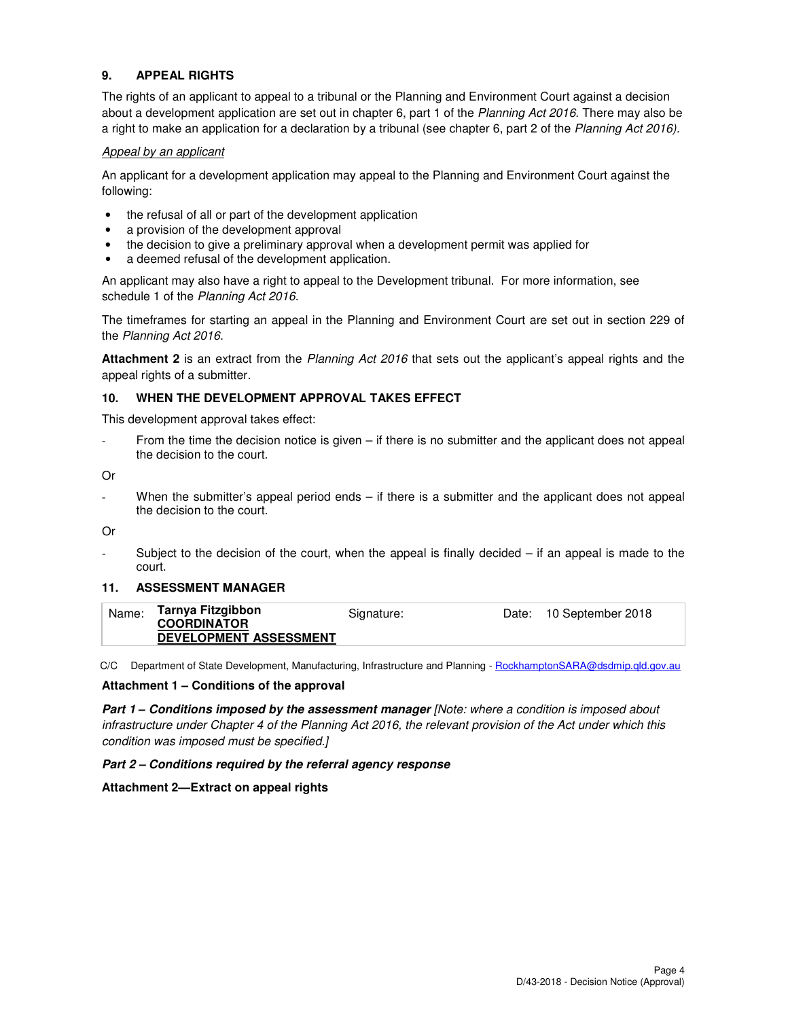## **9. APPEAL RIGHTS**

The rights of an applicant to appeal to a tribunal or the Planning and Environment Court against a decision about a development application are set out in chapter 6, part 1 of the Planning Act 2016. There may also be a right to make an application for a declaration by a tribunal (see chapter 6, part 2 of the Planning Act 2016).

### Appeal by an applicant

An applicant for a development application may appeal to the Planning and Environment Court against the following:

- the refusal of all or part of the development application
- a provision of the development approval
- the decision to give a preliminary approval when a development permit was applied for
- a deemed refusal of the development application.

An applicant may also have a right to appeal to the Development tribunal. For more information, see schedule 1 of the Planning Act 2016.

The timeframes for starting an appeal in the Planning and Environment Court are set out in section 229 of the Planning Act 2016.

**Attachment 2** is an extract from the Planning Act 2016 that sets out the applicant's appeal rights and the appeal rights of a submitter.

### **10. WHEN THE DEVELOPMENT APPROVAL TAKES EFFECT**

This development approval takes effect:

From the time the decision notice is given  $-$  if there is no submitter and the applicant does not appeal the decision to the court.

Or

When the submitter's appeal period ends – if there is a submitter and the applicant does not appeal the decision to the court.

Or

Subject to the decision of the court, when the appeal is finally decided  $-$  if an appeal is made to the court.

### **11. ASSESSMENT MANAGER**

| Name: | Tarnya Fitzgibbon             | Signature: | Date: 10 September 2018 |
|-------|-------------------------------|------------|-------------------------|
|       | <b>COORDINATOR</b>            |            |                         |
|       | <b>DEVELOPMENT ASSESSMENT</b> |            |                         |

C/C Department of State Development, Manufacturing, Infrastructure and Planning - RockhamptonSARA@dsdmip.qld.gov.au

#### **Attachment 1 – Conditions of the approval**

**Part 1 – Conditions imposed by the assessment manager [Note: where a condition is imposed about** infrastructure under Chapter 4 of the Planning Act 2016, the relevant provision of the Act under which this condition was imposed must be specified.]

#### **Part 2 – Conditions required by the referral agency response**

### **Attachment 2—Extract on appeal rights**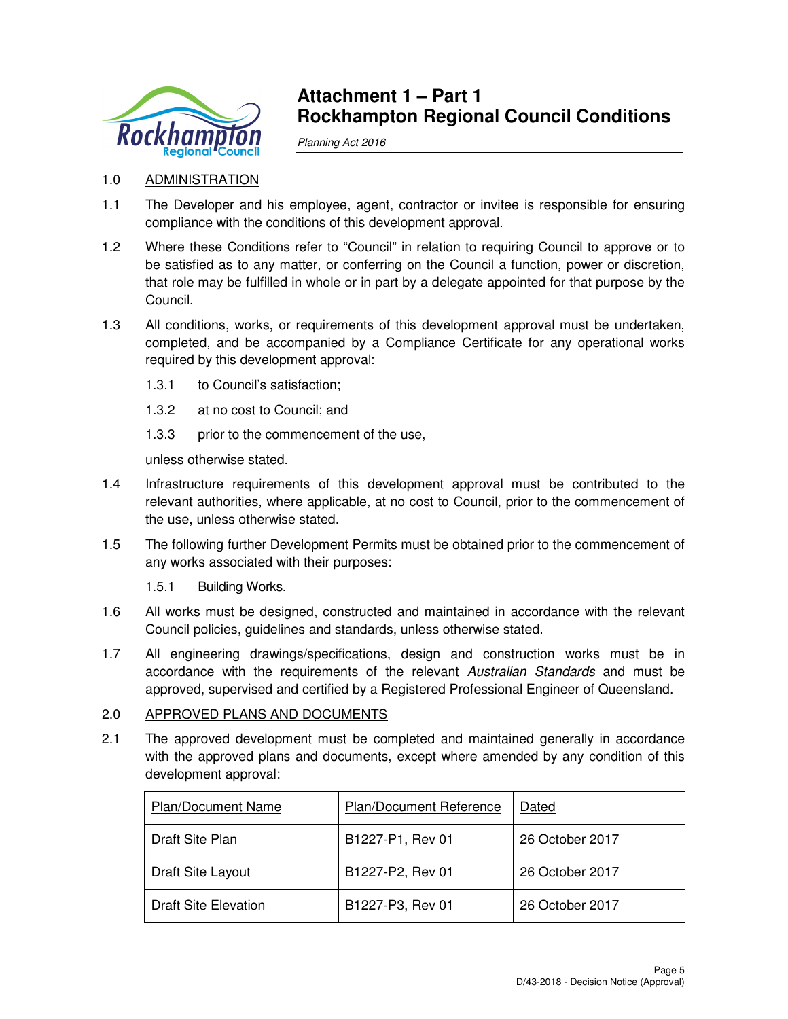

## **Attachment 1 – Part 1 Rockhampton Regional Council Conditions**

Planning Act 2016

- 1.0 ADMINISTRATION
- 1.1 The Developer and his employee, agent, contractor or invitee is responsible for ensuring compliance with the conditions of this development approval.
- 1.2 Where these Conditions refer to "Council" in relation to requiring Council to approve or to be satisfied as to any matter, or conferring on the Council a function, power or discretion, that role may be fulfilled in whole or in part by a delegate appointed for that purpose by the Council.
- 1.3 All conditions, works, or requirements of this development approval must be undertaken, completed, and be accompanied by a Compliance Certificate for any operational works required by this development approval:
	- 1.3.1 to Council's satisfaction;
	- 1.3.2 at no cost to Council; and
	- 1.3.3 prior to the commencement of the use,

unless otherwise stated.

- 1.4 Infrastructure requirements of this development approval must be contributed to the relevant authorities, where applicable, at no cost to Council, prior to the commencement of the use, unless otherwise stated.
- 1.5 The following further Development Permits must be obtained prior to the commencement of any works associated with their purposes:
	- 1.5.1 Building Works.
- 1.6 All works must be designed, constructed and maintained in accordance with the relevant Council policies, guidelines and standards, unless otherwise stated.
- 1.7 All engineering drawings/specifications, design and construction works must be in accordance with the requirements of the relevant Australian Standards and must be approved, supervised and certified by a Registered Professional Engineer of Queensland.

## 2.0 APPROVED PLANS AND DOCUMENTS

2.1 The approved development must be completed and maintained generally in accordance with the approved plans and documents, except where amended by any condition of this development approval:

| Plan/Document Name   | Plan/Document Reference | Dated           |
|----------------------|-------------------------|-----------------|
| Draft Site Plan      | B1227-P1, Rev 01        | 26 October 2017 |
| Draft Site Layout    | B1227-P2, Rev 01        | 26 October 2017 |
| Draft Site Elevation | B1227-P3, Rev 01        | 26 October 2017 |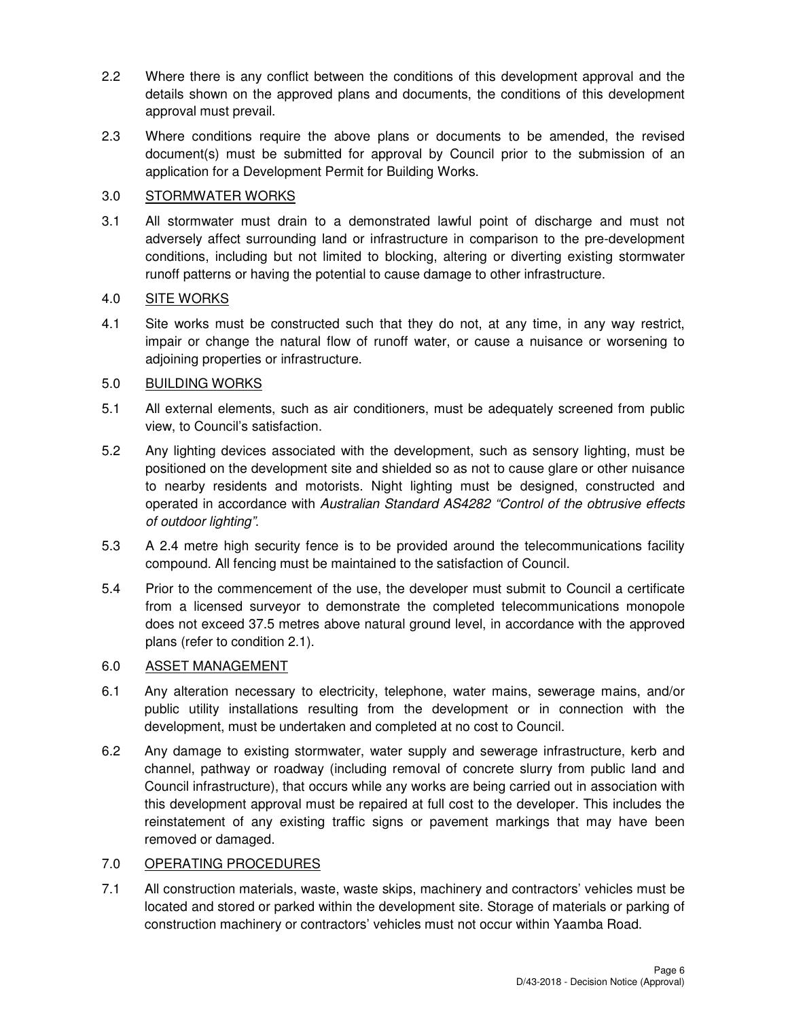- 2.2 Where there is any conflict between the conditions of this development approval and the details shown on the approved plans and documents, the conditions of this development approval must prevail.
- 2.3 Where conditions require the above plans or documents to be amended, the revised document(s) must be submitted for approval by Council prior to the submission of an application for a Development Permit for Building Works.

## 3.0 STORMWATER WORKS

3.1 All stormwater must drain to a demonstrated lawful point of discharge and must not adversely affect surrounding land or infrastructure in comparison to the pre-development conditions, including but not limited to blocking, altering or diverting existing stormwater runoff patterns or having the potential to cause damage to other infrastructure.

## 4.0 SITE WORKS

4.1 Site works must be constructed such that they do not, at any time, in any way restrict, impair or change the natural flow of runoff water, or cause a nuisance or worsening to adjoining properties or infrastructure.

## 5.0 BUILDING WORKS

- 5.1 All external elements, such as air conditioners, must be adequately screened from public view, to Council's satisfaction.
- 5.2 Any lighting devices associated with the development, such as sensory lighting, must be positioned on the development site and shielded so as not to cause glare or other nuisance to nearby residents and motorists. Night lighting must be designed, constructed and operated in accordance with Australian Standard AS4282 "Control of the obtrusive effects of outdoor lighting".
- 5.3 A 2.4 metre high security fence is to be provided around the telecommunications facility compound. All fencing must be maintained to the satisfaction of Council.
- 5.4 Prior to the commencement of the use, the developer must submit to Council a certificate from a licensed surveyor to demonstrate the completed telecommunications monopole does not exceed 37.5 metres above natural ground level, in accordance with the approved plans (refer to condition 2.1).

## 6.0 ASSET MANAGEMENT

- 6.1 Any alteration necessary to electricity, telephone, water mains, sewerage mains, and/or public utility installations resulting from the development or in connection with the development, must be undertaken and completed at no cost to Council.
- 6.2 Any damage to existing stormwater, water supply and sewerage infrastructure, kerb and channel, pathway or roadway (including removal of concrete slurry from public land and Council infrastructure), that occurs while any works are being carried out in association with this development approval must be repaired at full cost to the developer. This includes the reinstatement of any existing traffic signs or pavement markings that may have been removed or damaged.

## 7.0 OPERATING PROCEDURES

7.1 All construction materials, waste, waste skips, machinery and contractors' vehicles must be located and stored or parked within the development site. Storage of materials or parking of construction machinery or contractors' vehicles must not occur within Yaamba Road.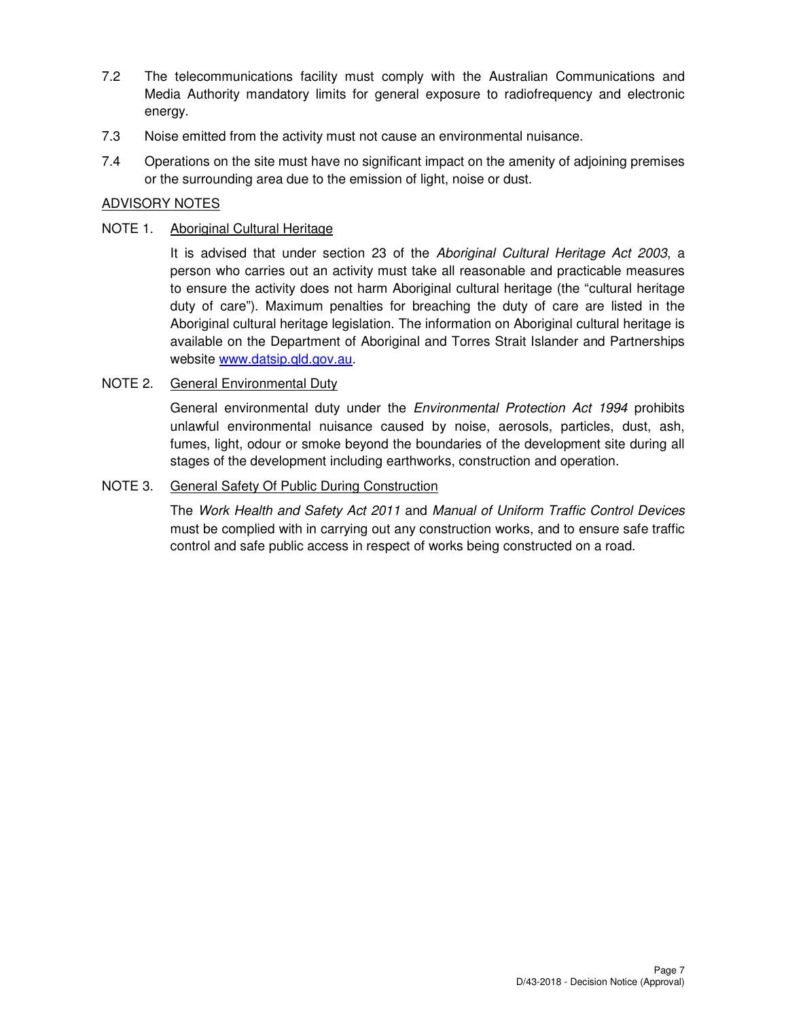- 7.2 The telecommunications facility must comply with the Australian Communications and Media Authority mandatory limits for general exposure to radiofrequency and electronic energy.
- 7.3 Noise emitted from the activity must not cause an environmental nuisance.
- 7.4 Operations on the site must have no significant impact on the amenity of adjoining premises or the surrounding area due to the emission of light, noise or dust.

## ADVISORY NOTES

## NOTE 1. Aboriginal Cultural Heritage

It is advised that under section 23 of the Aboriginal Cultural Heritage Act 2003, a person who carries out an activity must take all reasonable and practicable measures to ensure the activity does not harm Aboriginal cultural heritage (the "cultural heritage duty of care"). Maximum penalties for breaching the duty of care are listed in the Aboriginal cultural heritage legislation. The information on Aboriginal cultural heritage is available on the Department of Aboriginal and Torres Strait Islander and Partnerships website www.datsip.qld.gov.au.

## NOTE 2. General Environmental Duty

General environmental duty under the *Environmental Protection Act 1994* prohibits unlawful environmental nuisance caused by noise, aerosols, particles, dust, ash, fumes, light, odour or smoke beyond the boundaries of the development site during all stages of the development including earthworks, construction and operation.

## NOTE 3. General Safety Of Public During Construction

The Work Health and Safety Act 2011 and Manual of Uniform Traffic Control Devices must be complied with in carrying out any construction works, and to ensure safe traffic control and safe public access in respect of works being constructed on a road.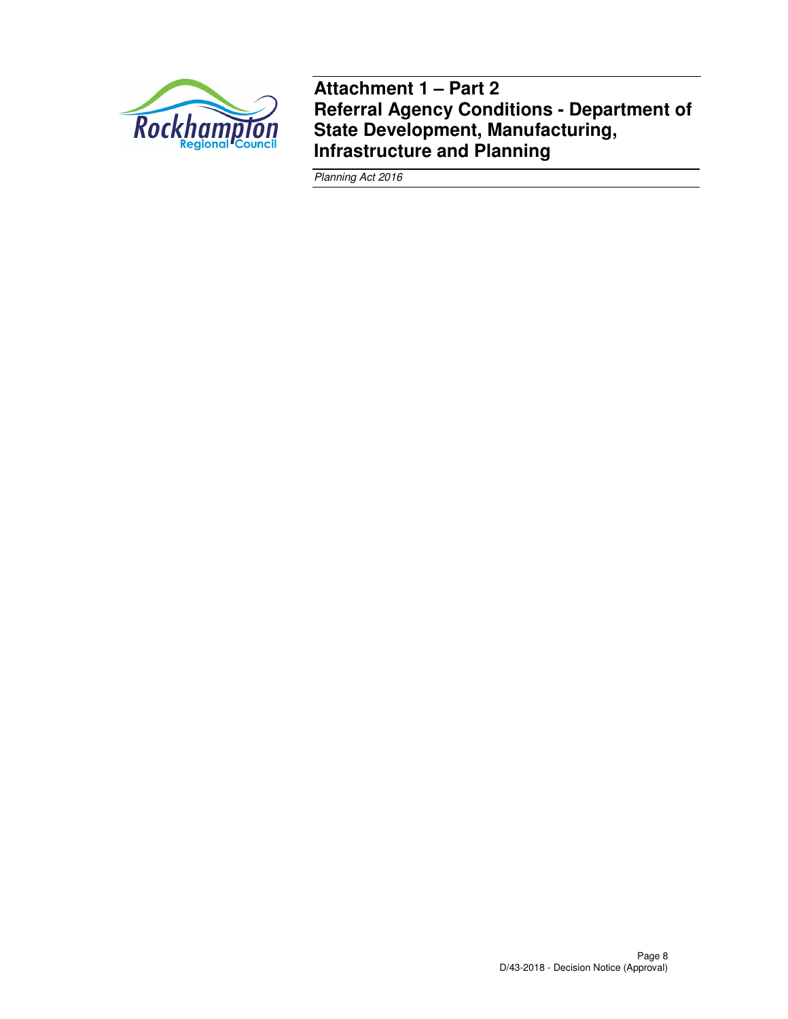

**Attachment 1 – Part 2 Referral Agency Conditions - Department of State Development, Manufacturing, Infrastructure and Planning** 

Planning Act 2016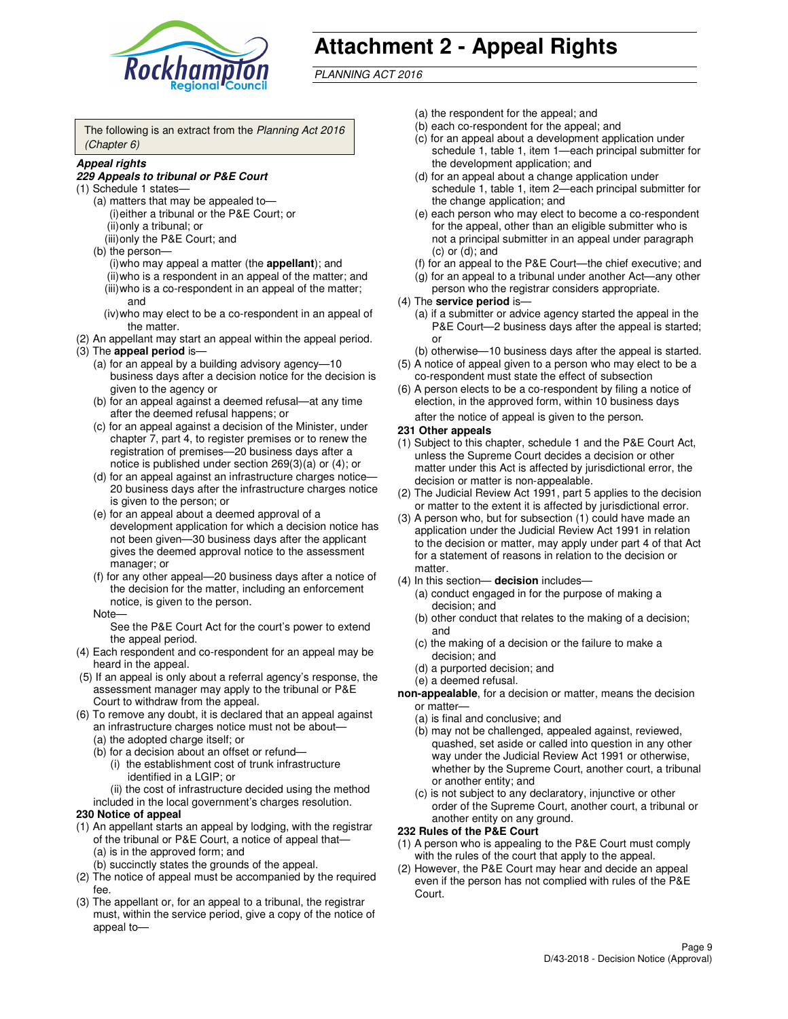

# **Attachment 2 - Appeal Rights**

PLANNING ACT 2016

The following is an extract from the Planning Act 2016 (Chapter 6)

#### **Appeal rights**

#### **229 Appeals to tribunal or P&E Court**

- (1) Schedule 1 states—
	- (a) matters that may be appealed to— (i) either a tribunal or the P&E Court; or (ii) only a tribunal; or (iii) only the P&E Court; and
	- (b) the person—
		- (i) who may appeal a matter (the **appellant**); and
		- (ii) who is a respondent in an appeal of the matter; and (iii) who is a co-respondent in an appeal of the matter; and
		- (iv) who may elect to be a co-respondent in an appeal of the matter.
- (2) An appellant may start an appeal within the appeal period.
- (3) The **appeal period** is—
	- (a) for an appeal by a building advisory agency—10 business days after a decision notice for the decision is given to the agency or
	- (b) for an appeal against a deemed refusal—at any time after the deemed refusal happens; or
	- (c) for an appeal against a decision of the Minister, under chapter 7, part 4, to register premises or to renew the registration of premises—20 business days after a notice is published under section 269(3)(a) or (4); or
	- (d) for an appeal against an infrastructure charges notice— 20 business days after the infrastructure charges notice is given to the person; or
	- (e) for an appeal about a deemed approval of a development application for which a decision notice has not been given—30 business days after the applicant gives the deemed approval notice to the assessment manager; or
	- (f) for any other appeal—20 business days after a notice of the decision for the matter, including an enforcement notice, is given to the person.
	- Note—

See the P&E Court Act for the court's power to extend the appeal period.

- (4) Each respondent and co-respondent for an appeal may be heard in the appeal.
- (5) If an appeal is only about a referral agency's response, the assessment manager may apply to the tribunal or P&E Court to withdraw from the appeal.
- (6) To remove any doubt, it is declared that an appeal against an infrastructure charges notice must not be about—
	- (a) the adopted charge itself; or
	- (b) for a decision about an offset or refund—
		- (i) the establishment cost of trunk infrastructure identified in a LGIP; or

(ii) the cost of infrastructure decided using the method

- included in the local government's charges resolution. **230 Notice of appeal**
- (1) An appellant starts an appeal by lodging, with the registrar of the tribunal or P&E Court, a notice of appeal that—
	- (a) is in the approved form; and
	- (b) succinctly states the grounds of the appeal.
- (2) The notice of appeal must be accompanied by the required fee.
- (3) The appellant or, for an appeal to a tribunal, the registrar must, within the service period, give a copy of the notice of appeal to—
- (a) the respondent for the appeal; and
- (b) each co-respondent for the appeal; and
- (c) for an appeal about a development application under schedule 1, table 1, item 1—each principal submitter for the development application; and
- (d) for an appeal about a change application under schedule 1, table 1, item 2—each principal submitter for the change application; and
- (e) each person who may elect to become a co-respondent for the appeal, other than an eligible submitter who is not a principal submitter in an appeal under paragraph  $(c)$  or  $(d)$ ; and
- (f) for an appeal to the P&E Court—the chief executive; and
- (g) for an appeal to a tribunal under another Act—any other person who the registrar considers appropriate.
- (4) The **service period** is—
	- (a) if a submitter or advice agency started the appeal in the P&E Court—2 business days after the appeal is started; or
	- (b) otherwise—10 business days after the appeal is started.
- (5) A notice of appeal given to a person who may elect to be a co-respondent must state the effect of subsection
- (6) A person elects to be a co-respondent by filing a notice of election, in the approved form, within 10 business days after the notice of appeal is given to the person*.*
- **231 Other appeals**
- (1) Subject to this chapter, schedule 1 and the P&E Court Act, unless the Supreme Court decides a decision or other matter under this Act is affected by jurisdictional error, the decision or matter is non-appealable.
- (2) The Judicial Review Act 1991, part 5 applies to the decision or matter to the extent it is affected by jurisdictional error.
- (3) A person who, but for subsection (1) could have made an application under the Judicial Review Act 1991 in relation to the decision or matter, may apply under part 4 of that Act for a statement of reasons in relation to the decision or matter.
- (4) In this section— **decision** includes—
	- (a) conduct engaged in for the purpose of making a decision; and
	- (b) other conduct that relates to the making of a decision; and
	- (c) the making of a decision or the failure to make a decision; and
	- (d) a purported decision; and
	- (e) a deemed refusal.

**non-appealable**, for a decision or matter, means the decision or matter—

- (a) is final and conclusive; and
- (b) may not be challenged, appealed against, reviewed, quashed, set aside or called into question in any other way under the Judicial Review Act 1991 or otherwise, whether by the Supreme Court, another court, a tribunal or another entity; and
- (c) is not subject to any declaratory, injunctive or other order of the Supreme Court, another court, a tribunal or another entity on any ground.

#### **232 Rules of the P&E Court**

- (1) A person who is appealing to the P&E Court must comply with the rules of the court that apply to the appeal.
- (2) However, the P&E Court may hear and decide an appeal even if the person has not complied with rules of the P&E Court.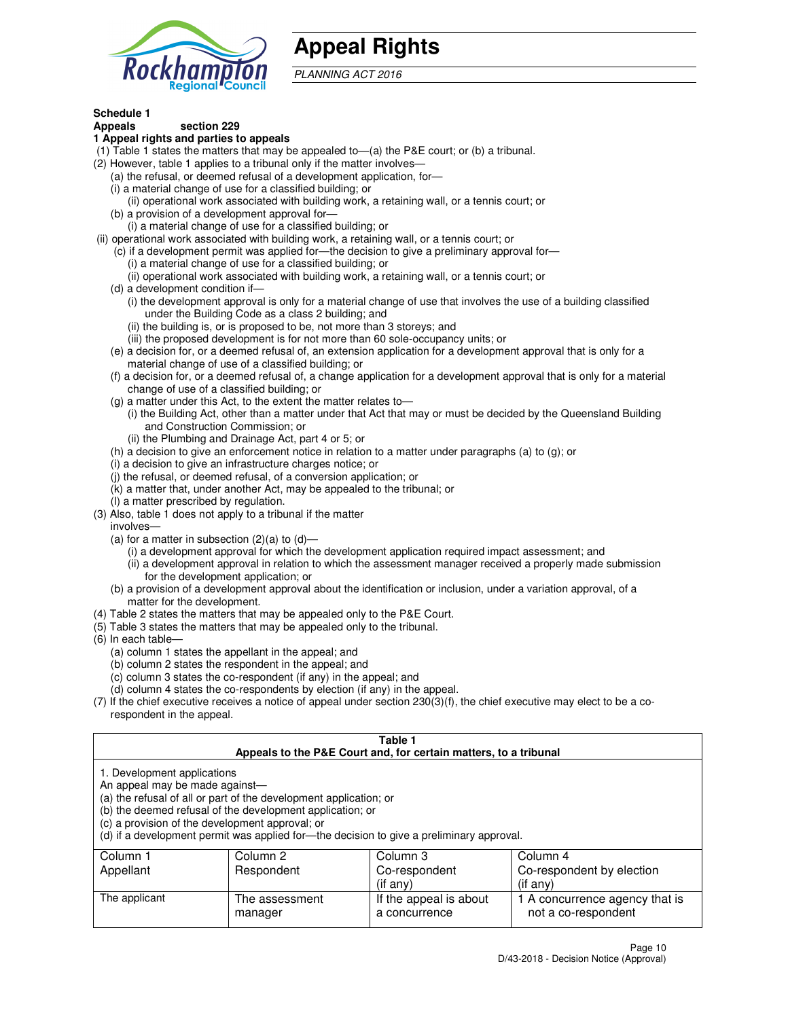

## **Appeal Rights**

PLANNING ACT 2016

## **Schedule 1**

## **Appeals section 229**

#### **1 Appeal rights and parties to appeals**

- (1) Table 1 states the matters that may be appealed to—(a) the P&E court; or (b) a tribunal.
- (2) However, table 1 applies to a tribunal only if the matter involves—
	- (a) the refusal, or deemed refusal of a development application, for—
	- (i) a material change of use for a classified building; or
	- (ii) operational work associated with building work, a retaining wall, or a tennis court; or
	- (b) a provision of a development approval for—
	- (i) a material change of use for a classified building; or
- (ii) operational work associated with building work, a retaining wall, or a tennis court; or
	- (c) if a development permit was applied for—the decision to give a preliminary approval for—
		- (i) a material change of use for a classified building; or
		- (ii) operational work associated with building work, a retaining wall, or a tennis court; or
	- (d) a development condition if—
		- (i) the development approval is only for a material change of use that involves the use of a building classified under the Building Code as a class 2 building; and
		- (ii) the building is, or is proposed to be, not more than 3 storeys; and
		- (iii) the proposed development is for not more than 60 sole-occupancy units; or
	- (e) a decision for, or a deemed refusal of, an extension application for a development approval that is only for a material change of use of a classified building; or
	- (f) a decision for, or a deemed refusal of, a change application for a development approval that is only for a material change of use of a classified building; or
	- (g) a matter under this Act, to the extent the matter relates to—
		- (i) the Building Act, other than a matter under that Act that may or must be decided by the Queensland Building and Construction Commission; or
		- (ii) the Plumbing and Drainage Act, part 4 or 5; or
	- (h) a decision to give an enforcement notice in relation to a matter under paragraphs (a) to (g); or
	- (i) a decision to give an infrastructure charges notice; or
	- (j) the refusal, or deemed refusal, of a conversion application; or
	- (k) a matter that, under another Act, may be appealed to the tribunal; or
	- (l) a matter prescribed by regulation.
- (3) Also, table 1 does not apply to a tribunal if the matter
	- involves—
	- (a) for a matter in subsection  $(2)(a)$  to  $(d)$ 
		- (i) a development approval for which the development application required impact assessment; and
		- (ii) a development approval in relation to which the assessment manager received a properly made submission for the development application; or
	- (b) a provision of a development approval about the identification or inclusion, under a variation approval, of a matter for the development.
- (4) Table 2 states the matters that may be appealed only to the P&E Court.
- (5) Table 3 states the matters that may be appealed only to the tribunal.
- (6) In each table—
	- (a) column 1 states the appellant in the appeal; and
	- (b) column 2 states the respondent in the appeal; and
	- (c) column 3 states the co-respondent (if any) in the appeal; and
	- (d) column 4 states the co-respondents by election (if any) in the appeal.
- $(7)$  If the chief executive receives a notice of appeal under section  $230(3)(f)$ , the chief executive may elect to be a corespondent in the appeal.

| Table 1<br>Appeals to the P&E Court and, for certain matters, to a tribunal                                      |                                                                                                                                |                                                                                          |                                |  |
|------------------------------------------------------------------------------------------------------------------|--------------------------------------------------------------------------------------------------------------------------------|------------------------------------------------------------------------------------------|--------------------------------|--|
| 1. Development applications<br>An appeal may be made against-<br>(c) a provision of the development approval; or | (a) the refusal of all or part of the development application; or<br>(b) the deemed refusal of the development application; or | (d) if a development permit was applied for—the decision to give a preliminary approval. |                                |  |
| Column 1                                                                                                         | Column 2                                                                                                                       | Column 3                                                                                 | Column 4                       |  |
| Appellant                                                                                                        | Respondent                                                                                                                     | Co-respondent                                                                            | Co-respondent by election      |  |
| $($ if any $)$<br>$($ if any $)$                                                                                 |                                                                                                                                |                                                                                          |                                |  |
| The applicant                                                                                                    | The assessment                                                                                                                 | If the appeal is about                                                                   | 1 A concurrence agency that is |  |
|                                                                                                                  | manager                                                                                                                        | a concurrence                                                                            | not a co-respondent            |  |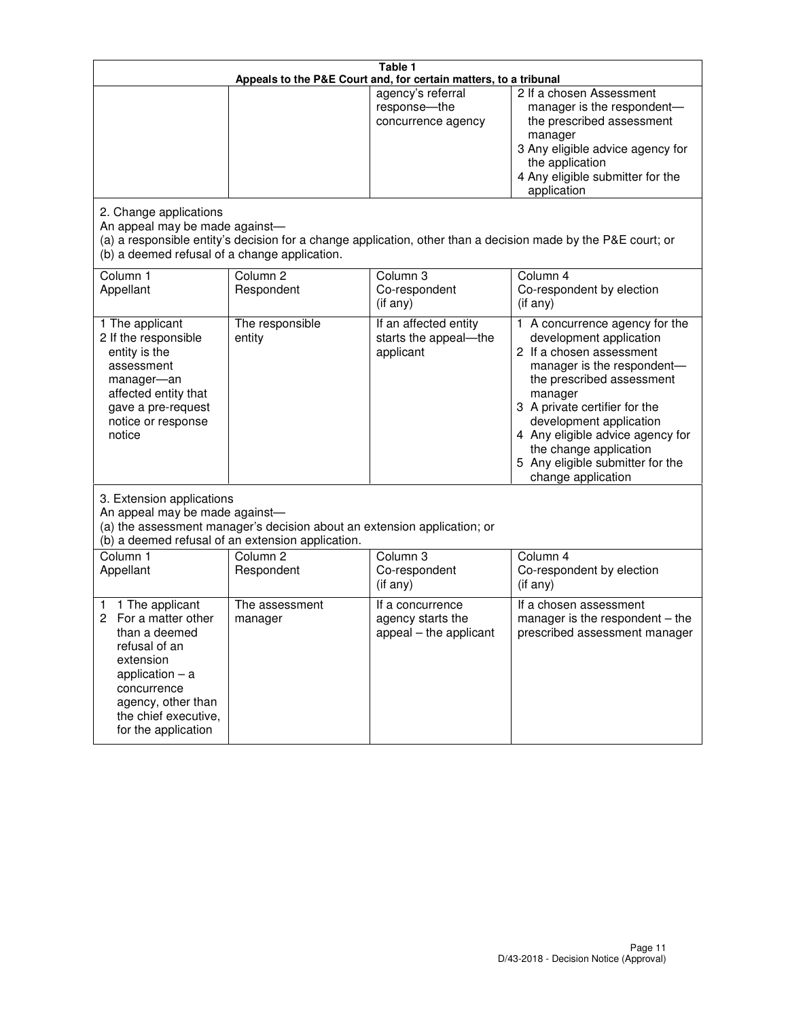| Table 1<br>Appeals to the P&E Court and, for certain matters, to a tribunal                                                                                                                             |                                                                                                                                                                                              |                                                                 |                                                                                                                                                                                                                                                                                                                                                 |  |  |
|---------------------------------------------------------------------------------------------------------------------------------------------------------------------------------------------------------|----------------------------------------------------------------------------------------------------------------------------------------------------------------------------------------------|-----------------------------------------------------------------|-------------------------------------------------------------------------------------------------------------------------------------------------------------------------------------------------------------------------------------------------------------------------------------------------------------------------------------------------|--|--|
|                                                                                                                                                                                                         |                                                                                                                                                                                              | agency's referral<br>response-the<br>concurrence agency         | 2 If a chosen Assessment<br>manager is the respondent-<br>the prescribed assessment<br>manager<br>3 Any eligible advice agency for<br>the application<br>4 Any eligible submitter for the<br>application                                                                                                                                        |  |  |
| 2. Change applications<br>An appeal may be made against-<br>(b) a deemed refusal of a change application.                                                                                               |                                                                                                                                                                                              |                                                                 | (a) a responsible entity's decision for a change application, other than a decision made by the P&E court; or                                                                                                                                                                                                                                   |  |  |
| Column 1<br>Appellant                                                                                                                                                                                   | Column <sub>2</sub><br>Respondent                                                                                                                                                            | Column <sub>3</sub><br>Co-respondent<br>(if any)                | Column 4<br>Co-respondent by election<br>(if any)                                                                                                                                                                                                                                                                                               |  |  |
| 1 The applicant<br>2 If the responsible<br>entity is the<br>assessment<br>manager-an<br>affected entity that<br>gave a pre-request<br>notice or response<br>notice                                      | The responsible<br>entity                                                                                                                                                                    | If an affected entity<br>starts the appeal-the<br>applicant     | 1 A concurrence agency for the<br>development application<br>2 If a chosen assessment<br>manager is the respondent-<br>the prescribed assessment<br>manager<br>3 A private certifier for the<br>development application<br>4 Any eligible advice agency for<br>the change application<br>5 Any eligible submitter for the<br>change application |  |  |
|                                                                                                                                                                                                         | 3. Extension applications<br>An appeal may be made against-<br>(a) the assessment manager's decision about an extension application; or<br>(b) a deemed refusal of an extension application. |                                                                 |                                                                                                                                                                                                                                                                                                                                                 |  |  |
| Column 1<br>Appellant                                                                                                                                                                                   | Column <sub>2</sub><br>Respondent                                                                                                                                                            | Column <sub>3</sub><br>Co-respondent<br>(if any)                | Column 4<br>Co-respondent by election<br>(if any)                                                                                                                                                                                                                                                                                               |  |  |
| 1 The applicant<br>1<br>For a matter other<br>2<br>than a deemed<br>refusal of an<br>extension<br>application $-$ a<br>concurrence<br>agency, other than<br>the chief executive,<br>for the application | The assessment<br>manager                                                                                                                                                                    | If a concurrence<br>agency starts the<br>appeal - the applicant | If a chosen assessment<br>manager is the respondent $-$ the<br>prescribed assessment manager                                                                                                                                                                                                                                                    |  |  |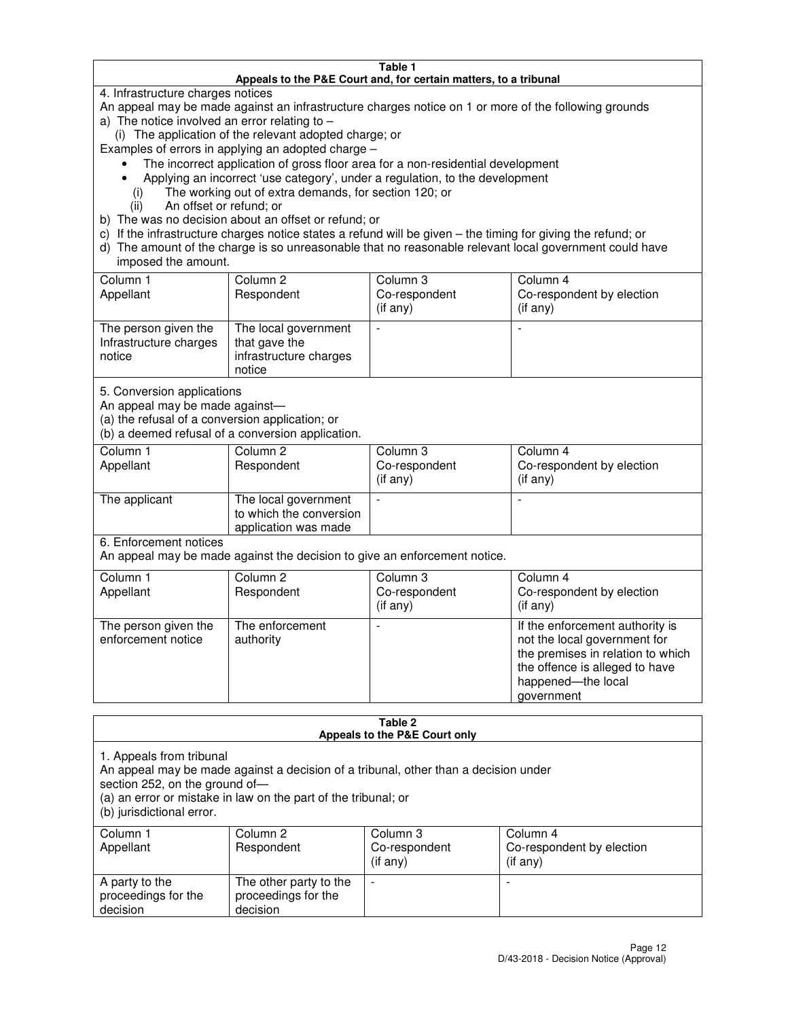#### **Table 1 Appeals to the P&E Court and, for certain matters, to a tribunal**

4. Infrastructure charges notices

An appeal may be made against an infrastructure charges notice on 1 or more of the following grounds

- a) The notice involved an error relating to
	- (i) The application of the relevant adopted charge; or

Examples of errors in applying an adopted charge –

- The incorrect application of gross floor area for a non-residential development
- Applying an incorrect 'use category', under a regulation, to the development
	- (i) The working out of extra demands, for section 120; or
	- (ii) An offset or refund; or
- b) The was no decision about an offset or refund; or
- c) If the infrastructure charges notice states a refund will be given the timing for giving the refund; or
- d) The amount of the charge is so unreasonable that no reasonable relevant local government could have imposed the amount.

| Column 1<br>Appellant                                    | Column 2<br>Respondent                                                    | Column 3<br>Co-respondent<br>$($ if any $)$ | Column 4<br>Co-respondent by election<br>$($ if any $)$ |
|----------------------------------------------------------|---------------------------------------------------------------------------|---------------------------------------------|---------------------------------------------------------|
| The person given the<br>Infrastructure charges<br>notice | The local government<br>that gave the<br>infrastructure charges<br>notice |                                             |                                                         |

5. Conversion applications

An appeal may be made against—

(a) the refusal of a conversion application; or

(b) a deemed refusal of a conversion application.

| Column 1<br>Appellant | Column 2<br>Respondent                                                  | Column 3<br>Co-respondent<br>$($ if any $)$ | Column 4<br>Co-respondent by election<br>$($ if any $)$ |
|-----------------------|-------------------------------------------------------------------------|---------------------------------------------|---------------------------------------------------------|
| The applicant         | The local government<br>to which the conversion<br>application was made |                                             |                                                         |

6. Enforcement notices

An appeal may be made against the decision to give an enforcement notice.

| Column 1<br>Appellant                      | Column 2<br>Respondent       | Column 3<br>Co-respondent<br>$($ if any $)$ | Column 4<br>Co-respondent by election<br>(if any)                                                                                                                          |
|--------------------------------------------|------------------------------|---------------------------------------------|----------------------------------------------------------------------------------------------------------------------------------------------------------------------------|
| The person given the<br>enforcement notice | The enforcement<br>authority |                                             | If the enforcement authority is<br>not the local government for<br>the premises in relation to which<br>the offence is alleged to have<br>happened-the local<br>government |

#### **Table 2 Appeals to the P&E Court only**

1. Appeals from tribunal

An appeal may be made against a decision of a tribunal, other than a decision under

section 252, on the ground of—

(a) an error or mistake in law on the part of the tribunal; or

(b) jurisdictional error.

| Column 1<br>Appellant                             | Column 2<br>Respondent                                    | Column 3<br>Co-respondent<br>(if any) | Column 4<br>Co-respondent by election<br>(if any) |
|---------------------------------------------------|-----------------------------------------------------------|---------------------------------------|---------------------------------------------------|
| A party to the<br>proceedings for the<br>decision | The other party to the<br>proceedings for the<br>decision | $\overline{\phantom{a}}$              |                                                   |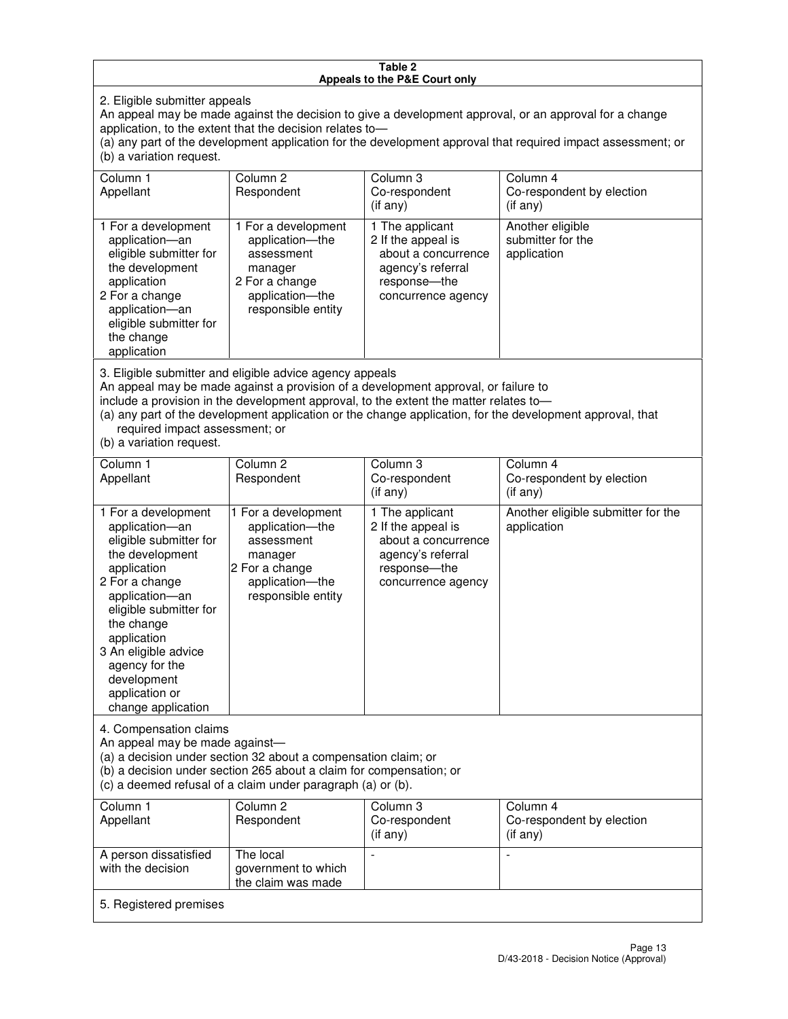#### **Table 2 Appeals to the P&E Court only**

2. Eligible submitter appeals

An appeal may be made against the decision to give a development approval, or an approval for a change application, to the extent that the decision relates to—

(a) any part of the development application for the development approval that required impact assessment; or (b) a variation request.

| Column 1<br>Appellant                                                                                                                                                                                                                                                                                                                                                                                              | Column <sub>2</sub><br>Respondent                                                                                          | Column 3<br>Co-respondent<br>(if any)                                                                                    | Column 4<br>Co-respondent by election<br>(i f any)   |
|--------------------------------------------------------------------------------------------------------------------------------------------------------------------------------------------------------------------------------------------------------------------------------------------------------------------------------------------------------------------------------------------------------------------|----------------------------------------------------------------------------------------------------------------------------|--------------------------------------------------------------------------------------------------------------------------|------------------------------------------------------|
| 1 For a development<br>application-an<br>eligible submitter for<br>the development<br>application<br>2 For a change<br>application-an<br>eligible submitter for<br>the change<br>application                                                                                                                                                                                                                       | 1 For a development<br>application-the<br>assessment<br>manager<br>2 For a change<br>application-the<br>responsible entity | 1 The applicant<br>2 If the appeal is<br>about a concurrence<br>agency's referral<br>response--the<br>concurrence agency | Another eligible<br>submitter for the<br>application |
| 3. Eligible submitter and eligible advice agency appeals<br>An appeal may be made against a provision of a development approval, or failure to<br>include a provision in the development approval, to the extent the matter relates to-<br>(a) any part of the development application or the change application, for the development approval, that<br>required impact assessment; or<br>(b) a variation request. |                                                                                                                            |                                                                                                                          |                                                      |
| Column 1<br>Appellant                                                                                                                                                                                                                                                                                                                                                                                              | Column <sub>2</sub><br>Respondent                                                                                          | Column 3<br>Co-respondent<br>(if any)                                                                                    | Column 4<br>Co-respondent by election<br>(i f any)   |
| 1 For a development<br>application-an<br>eligible submitter for<br>the development                                                                                                                                                                                                                                                                                                                                 | 1 For a development<br>application-the<br>assessment<br>manager                                                            | 1 The applicant<br>2 If the appeal is<br>about a concurrence<br>agency's referral                                        | Another eligible submitter for the<br>application    |

response—the concurrence agency

change application 4. Compensation claims

application 2 For a change application—an eligible submitter for

the change application 3 An eligible advice agency for the development application or

An appeal may be made against—

(a) a decision under section 32 about a compensation claim; or

manager 2 For a change application—the responsible entity

(b) a decision under section 265 about a claim for compensation; or

(c) a deemed refusal of a claim under paragraph (a) or (b).

| Column 1<br>Appellant                      | Column 2<br>Respondent                                 | Column 3<br>Co-respondent<br>(if any) | Column 4<br>Co-respondent by election<br>$($ if any $)$ |
|--------------------------------------------|--------------------------------------------------------|---------------------------------------|---------------------------------------------------------|
| A person dissatisfied<br>with the decision | The local<br>government to which<br>the claim was made | -                                     |                                                         |
| 5. Registered premises                     |                                                        |                                       |                                                         |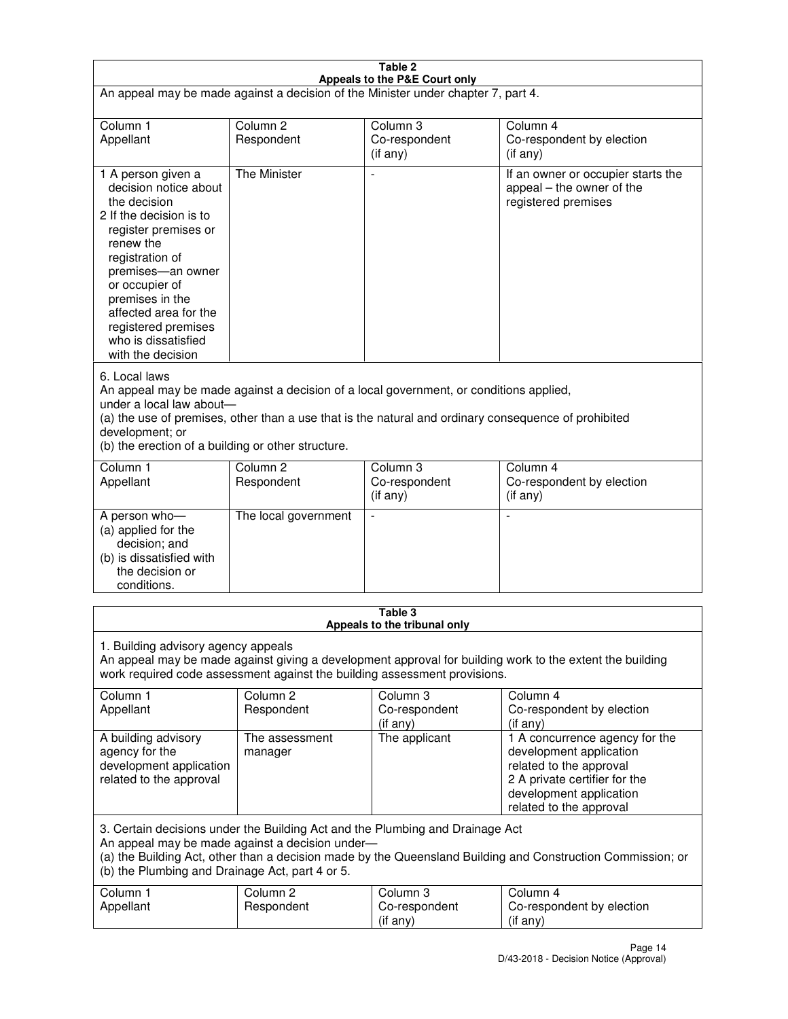| Table 2<br>Appeals to the P&E Court only                                                                                                                                                                                                                                                                             |                                   |                                         |                                                                                                                                                                             |  |
|----------------------------------------------------------------------------------------------------------------------------------------------------------------------------------------------------------------------------------------------------------------------------------------------------------------------|-----------------------------------|-----------------------------------------|-----------------------------------------------------------------------------------------------------------------------------------------------------------------------------|--|
| An appeal may be made against a decision of the Minister under chapter 7, part 4.                                                                                                                                                                                                                                    |                                   |                                         |                                                                                                                                                                             |  |
|                                                                                                                                                                                                                                                                                                                      |                                   |                                         |                                                                                                                                                                             |  |
| Column 1<br>Appellant                                                                                                                                                                                                                                                                                                | Column <sub>2</sub><br>Respondent | Column <sub>3</sub><br>Co-respondent    | Column <sub>4</sub><br>Co-respondent by election                                                                                                                            |  |
|                                                                                                                                                                                                                                                                                                                      |                                   | (if any)                                | (if any)                                                                                                                                                                    |  |
| 1 A person given a<br>decision notice about<br>the decision<br>2 If the decision is to<br>register premises or<br>renew the<br>registration of<br>premises-an owner<br>or occupier of<br>premises in the<br>affected area for the<br>registered premises<br>who is dissatisfied<br>with the decision                 | <b>The Minister</b>               |                                         | If an owner or occupier starts the<br>appeal – the owner of the<br>registered premises                                                                                      |  |
| 6. Local laws<br>An appeal may be made against a decision of a local government, or conditions applied,<br>under a local law about-<br>(a) the use of premises, other than a use that is the natural and ordinary consequence of prohibited<br>development; or<br>(b) the erection of a building or other structure. |                                   |                                         |                                                                                                                                                                             |  |
| Column 1                                                                                                                                                                                                                                                                                                             | Column <sub>2</sub>               | Column 3                                | Column $\overline{4}$                                                                                                                                                       |  |
| Appellant                                                                                                                                                                                                                                                                                                            | Respondent                        | Co-respondent<br>(if any)               | Co-respondent by election<br>(if any)                                                                                                                                       |  |
| A person who-<br>(a) applied for the<br>decision; and<br>(b) is dissatisfied with<br>the decision or<br>conditions.                                                                                                                                                                                                  | The local government              |                                         |                                                                                                                                                                             |  |
|                                                                                                                                                                                                                                                                                                                      |                                   | Table 3<br>Appeals to the tribunal only |                                                                                                                                                                             |  |
| 1. Building advisory agency appeals<br>An appeal may be made against giving a development approval for building work to the extent the building<br>work required code assessment against the building assessment provisions.                                                                                         |                                   |                                         |                                                                                                                                                                             |  |
| Column 1<br>Appellant                                                                                                                                                                                                                                                                                                | Column <sub>2</sub><br>Respondent | Column 3<br>Co-respondent<br>(if any)   | Column 4<br>Co-respondent by election<br>(if any)                                                                                                                           |  |
| A building advisory<br>agency for the<br>development application<br>related to the approval                                                                                                                                                                                                                          | The assessment<br>manager         | The applicant                           | 1 A concurrence agency for the<br>development application<br>related to the approval<br>2 A private certifier for the<br>development application<br>related to the approval |  |
| 3. Certain decisions under the Building Act and the Plumbing and Drainage Act<br>An appeal may be made against a decision under-<br>(a) the Building Act, other than a decision made by the Queensland Building and Construction Commission; or<br>(b) the Plumbing and Drainage Act, part 4 or 5.                   |                                   |                                         |                                                                                                                                                                             |  |
| Column 1<br>Appellant                                                                                                                                                                                                                                                                                                | Column <sub>2</sub><br>Respondent | Column 3<br>Co-respondent<br>(if any)   | Column 4<br>Co-respondent by election<br>(if any)                                                                                                                           |  |